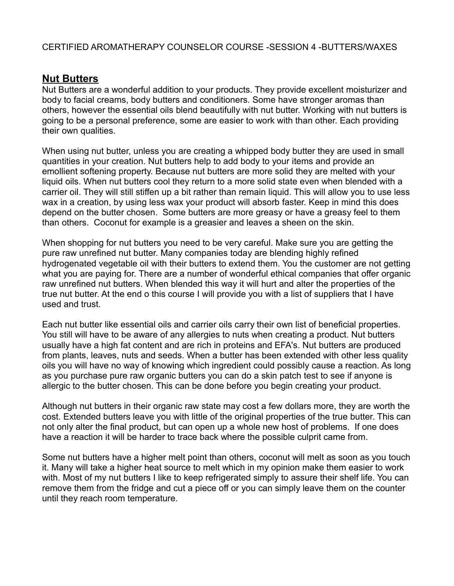# **Nut Butters**

Nut Butters are a wonderful addition to your products. They provide excellent moisturizer and body to facial creams, body butters and conditioners. Some have stronger aromas than others, however the essential oils blend beautifully with nut butter. Working with nut butters is going to be a personal preference, some are easier to work with than other. Each providing their own qualities.

When using nut butter, unless you are creating a whipped body butter they are used in small quantities in your creation. Nut butters help to add body to your items and provide an emollient softening property. Because nut butters are more solid they are melted with your liquid oils. When nut butters cool they return to a more solid state even when blended with a carrier oil. They will still stiffen up a bit rather than remain liquid. This will allow you to use less wax in a creation, by using less wax your product will absorb faster. Keep in mind this does depend on the butter chosen. Some butters are more greasy or have a greasy feel to them than others. Coconut for example is a greasier and leaves a sheen on the skin.

When shopping for nut butters you need to be very careful. Make sure you are getting the pure raw unrefined nut butter. Many companies today are blending highly refined hydrogenated vegetable oil with their butters to extend them. You the customer are not getting what you are paying for. There are a number of wonderful ethical companies that offer organic raw unrefined nut butters. When blended this way it will hurt and alter the properties of the true nut butter. At the end o this course I will provide you with a list of suppliers that I have used and trust.

Each nut butter like essential oils and carrier oils carry their own list of beneficial properties. You still will have to be aware of any allergies to nuts when creating a product. Nut butters usually have a high fat content and are rich in proteins and EFA's. Nut butters are produced from plants, leaves, nuts and seeds. When a butter has been extended with other less quality oils you will have no way of knowing which ingredient could possibly cause a reaction. As long as you purchase pure raw organic butters you can do a skin patch test to see if anyone is allergic to the butter chosen. This can be done before you begin creating your product.

Although nut butters in their organic raw state may cost a few dollars more, they are worth the cost. Extended butters leave you with little of the original properties of the true butter. This can not only alter the final product, but can open up a whole new host of problems. If one does have a reaction it will be harder to trace back where the possible culprit came from.

Some nut butters have a higher melt point than others, coconut will melt as soon as you touch it. Many will take a higher heat source to melt which in my opinion make them easier to work with. Most of my nut butters I like to keep refrigerated simply to assure their shelf life. You can remove them from the fridge and cut a piece off or you can simply leave them on the counter until they reach room temperature.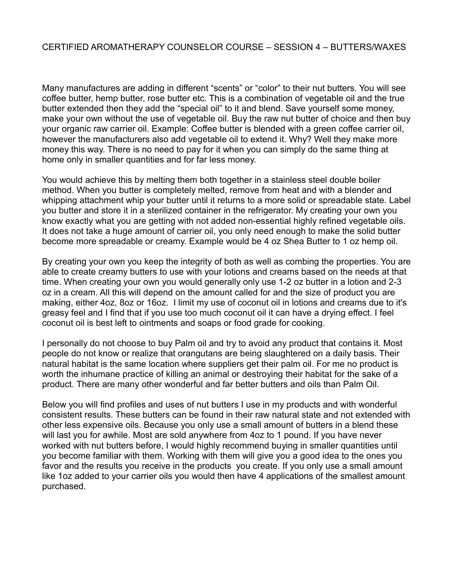Many manufactures are adding in different "scents" or "color" to their nut butters. You will see coffee butter, hemp butter, rose butter etc. This is a combination of vegetable oil and the true butter extended then they add the "special oil" to it and blend. Save yourself some money, make your own without the use of vegetable oil. Buy the raw nut butter of choice and then buy your organic raw carrier oil. Example: Coffee butter is blended with a green coffee carrier oil, however the manufacturers also add vegetable oil to extend it. Why? Well they make more money this way. There is no need to pay for it when you can simply do the same thing at home only in smaller quantities and for far less money.

You would achieve this by melting them both together in a stainless steel double boiler method. When you butter is completely melted, remove from heat and with a blender and whipping attachment whip your butter until it returns to a more solid or spreadable state. Label you butter and store it in a sterilized container in the refrigerator. My creating your own you know exactly what you are getting with not added non-essential highly refined vegetable oils. It does not take a huge amount of carrier oil, you only need enough to make the solid butter become more spreadable or creamy. Example would be 4 oz Shea Butter to 1 oz hemp oil.

By creating your own you keep the integrity of both as well as combing the properties. You are able to create creamy butters to use with your lotions and creams based on the needs at that time. When creating your own you would generally only use 1-2 oz butter in a lotion and 2-3 oz in a cream. All this will depend on the amount called for and the size of product you are making, either 4oz, 8oz or 16oz. I limit my use of coconut oil in lotions and creams due to it's greasy feel and I find that if you use too much coconut oil it can have a drying effect. I feel coconut oil is best left to ointments and soaps or food grade for cooking.

I personally do not choose to buy Palm oil and try to avoid any product that contains it. Most people do not know or realize that orangutans are being slaughtered on a daily basis. Their natural habitat is the same location where suppliers get their palm oil. For me no product is worth the inhumane practice of killing an animal or destroying their habitat for the sake of a product. There are many other wonderful and far better butters and oils than Palm Oil.

Below you will find profiles and uses of nut butters I use in my products and with wonderful consistent results. These butters can be found in their raw natural state and not extended with other less expensive oils. Because you only use a small amount of butters in a blend these will last you for awhile. Most are sold anywhere from 4oz to 1 pound. If you have never worked with nut butters before, I would highly recommend buying in smaller quantities until you become familiar with them. Working with them will give you a good idea to the ones you favor and the results you receive in the products you create. If you only use a small amount like 1oz added to your carrier oils you would then have 4 applications of the smallest amount purchased.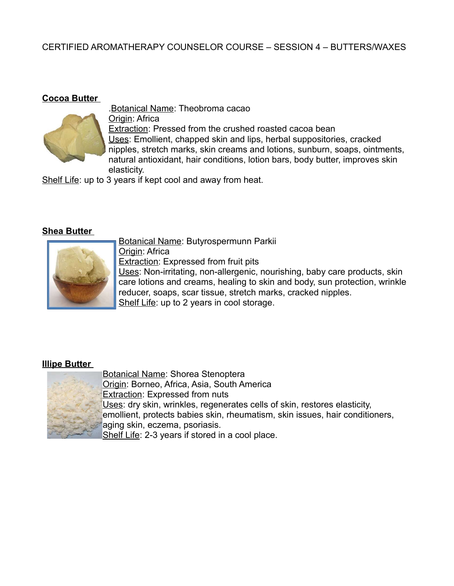#### **Cocoa Butter**



.Botanical Name: Theobroma cacao Origin: Africa Extraction: Pressed from the crushed roasted cacoa bean Uses: Emollient, chapped skin and lips, herbal suppositories, cracked nipples, stretch marks, skin creams and lotions, sunburn, soaps, ointments, natural antioxidant, hair conditions, lotion bars, body butter, improves skin elasticity.

Shelf Life: up to 3 years if kept cool and away from heat.

#### **Shea Butter**



Botanical Name: Butyrospermunn Parkii

Origin: Africa Extraction: Expressed from fruit pits Uses: Non-irritating, non-allergenic, nourishing, baby care products, skin care lotions and creams, healing to skin and body, sun protection, wrinkle reducer, soaps, scar tissue, stretch marks, cracked nipples. Shelf Life: up to 2 years in cool storage.

#### **Illipe Butter**



Botanical Name: Shorea Stenoptera Origin: Borneo, Africa, Asia, South America **Extraction: Expressed from nuts** Uses: dry skin, wrinkles, regenerates cells of skin, restores elasticity, emollient, protects babies skin, rheumatism, skin issues, hair conditioners, aging skin, eczema, psoriasis. Shelf Life: 2-3 years if stored in a cool place.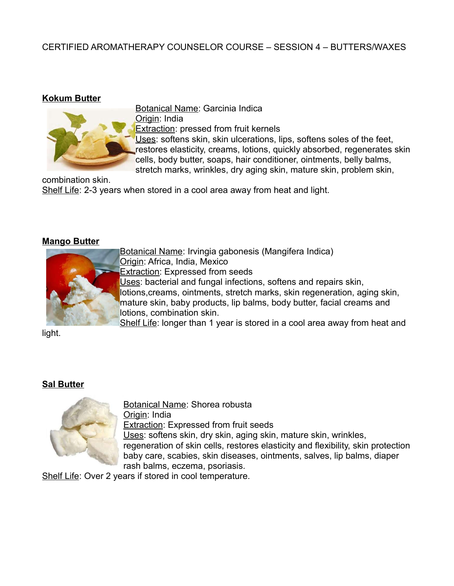#### **Kokum Butter**



Botanical Name: Garcinia Indica Origin: India Extraction: pressed from fruit kernels

Uses: softens skin, skin ulcerations, lips, softens soles of the feet, restores elasticity, creams, lotions, quickly absorbed, regenerates skin cells, body butter, soaps, hair conditioner, ointments, belly balms, stretch marks, wrinkles, dry aging skin, mature skin, problem skin,

combination skin. Shelf Life: 2-3 years when stored in a cool area away from heat and light.

#### **Mango Butter**



Botanical Name: Irvingia gabonesis (Mangifera Indica) Origin: Africa, India, Mexico Extraction: Expressed from seeds Uses: bacterial and fungal infections, softens and repairs skin, lotions,creams, ointments, stretch marks, skin regeneration, aging skin, mature skin, baby products, lip balms, body butter, facial creams and lotions, combination skin.

Shelf Life: longer than 1 year is stored in a cool area away from heat and

light.

## **Sal Butter**



Botanical Name: Shorea robusta Origin: India Extraction: Expressed from fruit seeds Uses: softens skin, dry skin, aging skin, mature skin, wrinkles, regeneration of skin cells, restores elasticity and flexibility, skin protection baby care, scabies, skin diseases, ointments, salves, lip balms, diaper rash balms, eczema, psoriasis.

Shelf Life: Over 2 years if stored in cool temperature.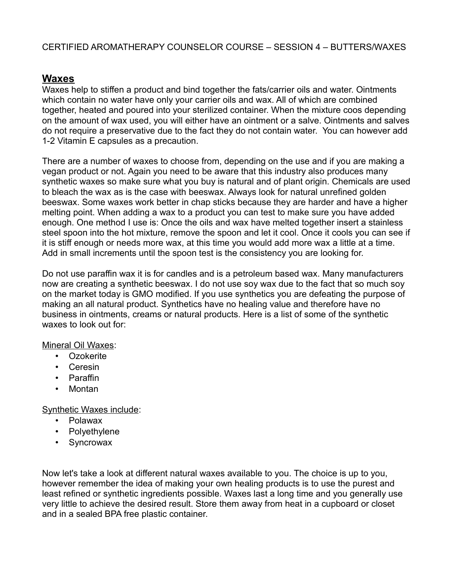# **Waxes**

Waxes help to stiffen a product and bind together the fats/carrier oils and water. Ointments which contain no water have only your carrier oils and wax. All of which are combined together, heated and poured into your sterilized container. When the mixture coos depending on the amount of wax used, you will either have an ointment or a salve. Ointments and salves do not require a preservative due to the fact they do not contain water. You can however add 1-2 Vitamin E capsules as a precaution.

There are a number of waxes to choose from, depending on the use and if you are making a vegan product or not. Again you need to be aware that this industry also produces many synthetic waxes so make sure what you buy is natural and of plant origin. Chemicals are used to bleach the wax as is the case with beeswax. Always look for natural unrefined golden beeswax. Some waxes work better in chap sticks because they are harder and have a higher melting point. When adding a wax to a product you can test to make sure you have added enough. One method I use is: Once the oils and wax have melted together insert a stainless steel spoon into the hot mixture, remove the spoon and let it cool. Once it cools you can see if it is stiff enough or needs more wax, at this time you would add more wax a little at a time. Add in small increments until the spoon test is the consistency you are looking for.

Do not use paraffin wax it is for candles and is a petroleum based wax. Many manufacturers now are creating a synthetic beeswax. I do not use soy wax due to the fact that so much soy on the market today is GMO modified. If you use synthetics you are defeating the purpose of making an all natural product. Synthetics have no healing value and therefore have no business in ointments, creams or natural products. Here is a list of some of the synthetic waxes to look out for:

## Mineral Oil Waxes:

- Ozokerite
- Ceresin
- Paraffin
- Montan

Synthetic Waxes include:

- Polawax
- Polyethylene
- Syncrowax

Now let's take a look at different natural waxes available to you. The choice is up to you, however remember the idea of making your own healing products is to use the purest and least refined or synthetic ingredients possible. Waxes last a long time and you generally use very little to achieve the desired result. Store them away from heat in a cupboard or closet and in a sealed BPA free plastic container.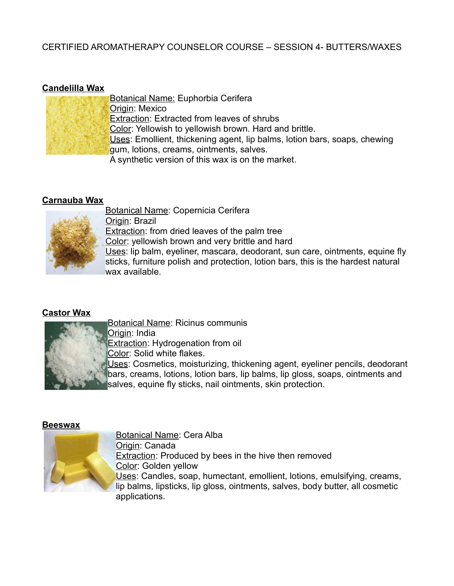# **Candelilla Wax**

| <b>Botanical Name: Euphorbia Cerifera</b>                                 |
|---------------------------------------------------------------------------|
| Origin: Mexico                                                            |
| <b>Extraction: Extracted from leaves of shrubs</b>                        |
| Color: Yellowish to yellowish brown. Hard and brittle.                    |
| Uses: Emollient, thickening agent, lip balms, lotion bars, soaps, chewing |
| gum, lotions, creams, ointments, salves.                                  |
| A synthetic version of this wax is on the market.                         |

## **Carnauba Wax**



Botanical Name: Copernicia Cerifera Origin: Brazil **Extraction:** from dried leaves of the palm tree Color: yellowish brown and very brittle and hard Uses: lip balm, eyeliner, mascara, deodorant, sun care, ointments, equine fly sticks, furniture polish and protection, lotion bars, this is the hardest natural

# **Castor Wax**



**Extraction: Hydrogenation from oil** 

Color: Solid white flakes.

Uses: Cosmetics, moisturizing, thickening agent, eyeliner pencils, deodorant bars, creams, lotions, lotion bars, lip balms, lip gloss, soaps, ointments and salves, equine fly sticks, nail ointments, skin protection.

## **Beeswax**



Botanical Name: Cera Alba Origin: Canada Extraction: Produced by bees in the hive then removed Color: Golden yellow Uses: Candles, soap, humectant, emollient, lotions, emulsifying, creams, lip balms, lipsticks, lip gloss, ointments, salves, body butter, all cosmetic applications.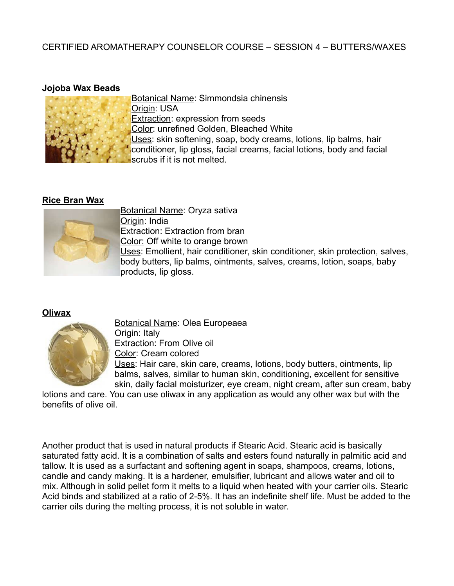#### **Jojoba Wax Beads**



Botanical Name: Simmondsia chinensis Origin: USA Extraction: expression from seeds Color: unrefined Golden, Bleached White Uses: skin softening, soap, body creams, lotions, lip balms, hair conditioner, lip gloss, facial creams, facial lotions, body and facial scrubs if it is not melted.

#### **Rice Bran Wax**



Botanical Name: Oryza sativa Origin: India Extraction: Extraction from bran Color: Off white to orange brown

Uses: Emollient, hair conditioner, skin conditioner, skin protection, salves, body butters, lip balms, ointments, salves, creams, lotion, soaps, baby products, lip gloss.

## **Oliwax**



Botanical Name: Olea Europeaea Origin: Italy Extraction: From Olive oil Color: Cream colored Uses: Hair care, skin care, creams, lotions, body butters, ointments, lip balms, salves, similar to human skin, conditioning, excellent for sensitive skin, daily facial moisturizer, eye cream, night cream, after sun cream, baby

lotions and care. You can use oliwax in any application as would any other wax but with the benefits of olive oil.

Another product that is used in natural products if Stearic Acid. Stearic acid is basically saturated fatty acid. It is a combination of salts and esters found naturally in palmitic acid and tallow. It is used as a surfactant and softening agent in soaps, shampoos, creams, lotions, candle and candy making. It is a hardener, emulsifier, lubricant and allows water and oil to mix. Although in solid pellet form it melts to a liquid when heated with your carrier oils. Stearic Acid binds and stabilized at a ratio of 2-5%. It has an indefinite shelf life. Must be added to the carrier oils during the melting process, it is not soluble in water.